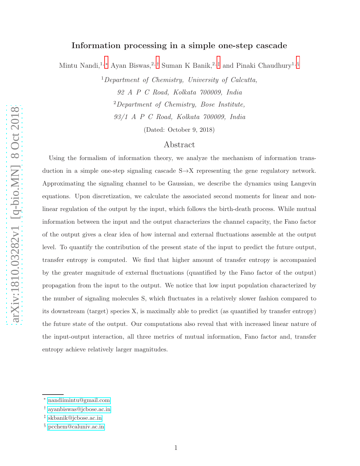# Information processing in a simple one-step cascade

Mintu Nandi,<sup>1, [∗](#page-0-0)</sup> Ayan Biswas,<sup>2,[†](#page-0-1)</sup> Suman K Banik,<sup>2,[‡](#page-0-2)</sup> and Pinaki Chaudhury<sup>1, [§](#page-0-3)</sup>

 $1$ Department of Chemistry, University of Calcutta, 92 A P C Road, Kolkata 700009, India <sup>2</sup>Department of Chemistry, Bose Institute, 93/1 A P C Road, Kolkata 700009, India

(Dated: October 9, 2018)

## Abstract

Using the formalism of information theory, we analyze the mechanism of information transduction in a simple one-step signaling cascade S→X representing the gene regulatory network. Approximating the signaling channel to be Gaussian, we describe the dynamics using Langevin equations. Upon discretization, we calculate the associated second moments for linear and nonlinear regulation of the output by the input, which follows the birth-death process. While mutual information between the input and the output characterizes the channel capacity, the Fano factor of the output gives a clear idea of how internal and external fluctuations assemble at the output level. To quantify the contribution of the present state of the input to predict the future output, transfer entropy is computed. We find that higher amount of transfer entropy is accompanied by the greater magnitude of external fluctuations (quantified by the Fano factor of the output) propagation from the input to the output. We notice that low input population characterized by the number of signaling molecules S, which fluctuates in a relatively slower fashion compared to its downstream (target) species X, is maximally able to predict (as quantified by transfer entropy) the future state of the output. Our computations also reveal that with increased linear nature of the input-output interaction, all three metrics of mutual information, Fano factor and, transfer entropy achieve relatively larger magnitudes.

<span id="page-0-1"></span><span id="page-0-0"></span><sup>∗</sup> [nandiimintu@gmail.com](mailto:nandiimintu@gmail.com)

<span id="page-0-2"></span><sup>†</sup> [ayanbiswas@jcbose.ac.in](mailto:ayanbiswas@jcbose.ac.in)

<span id="page-0-3"></span><sup>‡</sup> [skbanik@jcbose.ac.in](mailto:skbanik@jcbose.ac.in)

<sup>§</sup> [pcchem@caluniv.ac.in](mailto:pcchem@caluniv.ac.in)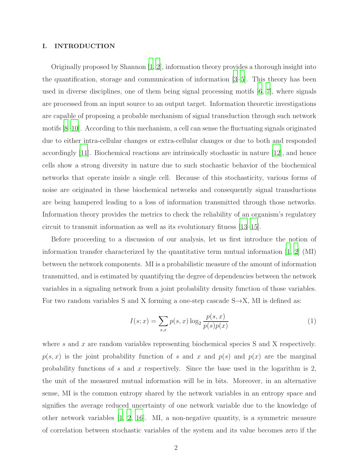#### I. INTRODUCTION

Originally proposed by Shannon [\[1](#page-23-0), [2](#page-23-1)], information theory provides a thorough insight into the quantification, storage and communication of information [\[3](#page-23-2)[–5\]](#page-24-0). This theory has been used in diverse disciplines, one of them being signal processing motifs [\[6,](#page-24-1) [7](#page-24-2)], where signals are processed from an input source to an output target. Information theoretic investigations are capable of proposing a probable mechanism of signal transduction through such network motifs [\[8](#page-24-3)[–10\]](#page-24-4). According to this mechanism, a cell can sense the fluctuating signals originated due to either intra-cellular changes or extra-cellular changes or due to both and responded accordingly [\[11\]](#page-24-5). Biochemical reactions are intrinsically stochastic in nature [\[12\]](#page-24-6), and hence cells show a strong diversity in nature due to such stochastic behavior of the biochemical networks that operate inside a single cell. Because of this stochasticity, various forms of noise are originated in these biochemical networks and consequently signal transductions are being hampered leading to a loss of information transmitted through those networks. Information theory provides the metrics to check the reliability of an organism's regulatory circuit to transmit information as well as its evolutionary fitness [\[13](#page-24-7)[–15](#page-24-8)].

Before proceeding to a discussion of our analysis, let us first introduce the notion of information transfer characterized by the quantitative term mutual information [\[1,](#page-23-0) [2\]](#page-23-1) (MI) between the network components. MI is a probabilistic measure of the amount of information transmitted, and is estimated by quantifying the degree of dependencies between the network variables in a signaling network from a joint probability density function of those variables. For two random variables S and X forming a one-step cascade  $S \rightarrow X$ , MI is defined as:

$$
I(s; x) = \sum_{s,x} p(s,x) \log_2 \frac{p(s,x)}{p(s)p(x)}
$$
(1)

where s and x are random variables representing biochemical species S and X respectively.  $p(s, x)$  is the joint probability function of s and x and  $p(s)$  and  $p(x)$  are the marginal probability functions of s and x respectively. Since the base used in the logarithm is  $2$ , the unit of the measured mutual information will be in bits. Moreover, in an alternative sense, MI is the common entropy shared by the network variables in an entropy space and signifies the average reduced uncertainty of one network variable due to the knowledge of other network variables [\[1,](#page-23-0) [2,](#page-23-1) [16](#page-24-9)]. MI, a non-negative quantity, is a symmetric measure of correlation between stochastic variables of the system and its value becomes zero if the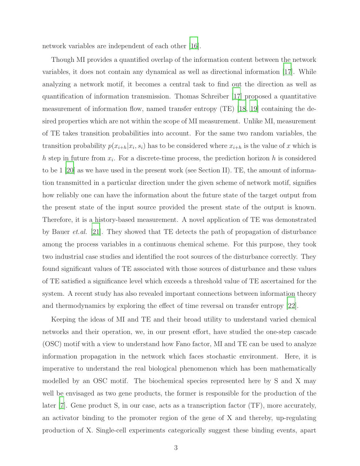network variables are independent of each other [\[16](#page-24-9)].

Though MI provides a quantified overlap of the information content between the network variables, it does not contain any dynamical as well as directional information [\[17](#page-24-10)]. While analyzing a network motif, it becomes a central task to find out the direction as well as quantification of information transmission. Thomas Schreiber [\[17\]](#page-24-10) proposed a quantitative measurement of information flow, named transfer entropy (TE) [\[18](#page-24-11), [19\]](#page-24-12) containing the desired properties which are not within the scope of MI measurement. Unlike MI, measurement of TE takes transition probabilities into account. For the same two random variables, the transition probability  $p(x_{i+h}|x_i, s_i)$  has to be considered where  $x_{i+h}$  is the value of x which is h step in future from  $x_i$ . For a discrete-time process, the prediction horizon h is considered to be 1 [\[20](#page-24-13)] as we have used in the present work (see Section II). TE, the amount of information transmitted in a particular direction under the given scheme of network motif, signifies how reliably one can have the information about the future state of the target output from the present state of the input source provided the present state of the output is known. Therefore, it is a history-based measurement. A novel application of TE was demonstrated by Bauer et.al. [\[21](#page-24-14)]. They showed that TE detects the path of propagation of disturbance among the process variables in a continuous chemical scheme. For this purpose, they took two industrial case studies and identified the root sources of the disturbance correctly. They found significant values of TE associated with those sources of disturbance and these values of TE satisfied a significance level which exceeds a threshold value of TE ascertained for the system. A recent study has also revealed important connections between information theory and thermodynamics by exploring the effect of time reversal on transfer entropy [\[22\]](#page-24-15).

Keeping the ideas of MI and TE and their broad utility to understand varied chemical networks and their operation, we, in our present effort, have studied the one-step cascade (OSC) motif with a view to understand how Fano factor, MI and TE can be used to analyze information propagation in the network which faces stochastic environment. Here, it is imperative to understand the real biological phenomenon which has been mathematically modelled by an OSC motif. The biochemical species represented here by S and X may well be envisaged as two gene products, the former is responsible for the production of the later [\[7](#page-24-2)]. Gene product S, in our case, acts as a transcription factor (TF), more accurately, an activator binding to the promoter region of the gene of X and thereby, up-regulating production of X. Single-cell experiments categorically suggest these binding events, apart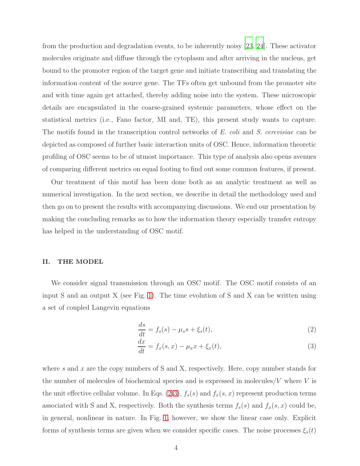from the production and degradation events, to be inherently noisy [\[23](#page-24-16), [24](#page-24-17)]. These activator molecules originate and diffuse through the cytoplasm and after arriving in the nucleus, get bound to the promoter region of the target gene and initiate transcribing and translating the information content of the source gene. The TFs often get unbound from the promoter site and with time again get attached, thereby adding noise into the system. These microscopic details are encapsulated in the coarse-grained systemic parameters, whose effect on the statistical metrics (i.e., Fano factor, MI and, TE), this present study wants to capture. The motifs found in the transcription control networks of E. coli and S. cerevisiae can be depicted as composed of further basic interaction units of OSC. Hence, information theoretic profiling of OSC seems to be of utmost importance. This type of analysis also opens avenues of comparing different metrics on equal footing to find out some common features, if present.

Our treatment of this motif has been done both as an analytic treatment as well as numerical investigation. In the next section, we describe in detail the methodology used and then go on to present the results with accompanying discussions. We end our presentation by making the concluding remarks as to how the information theory especially transfer entropy has helped in the understanding of OSC motif.

#### II. THE MODEL

We consider signal transmission through an OSC motif. The OSC motif consists of an input S and an output X (see Fig. [1\)](#page-4-0). The time evolution of S and X can be written using a set of coupled Langevin equations

<span id="page-3-0"></span>
$$
\frac{ds}{dt} = f_s(s) - \mu_s s + \xi_s(t),\tag{2}
$$

$$
\frac{dx}{dt} = f_x(s, x) - \mu_x x + \xi_x(t),\tag{3}
$$

where  $s$  and  $x$  are the copy numbers of S and X, respectively. Here, copy number stands for the number of molecules of biochemical species and is expressed in molecules/ $V$  where  $V$  is the unit effective cellular volume. In Eqs. [\(2-3\)](#page-3-0),  $f_s(s)$  and  $f_x(s, x)$  represent production terms associated with S and X, respectively. Both the synthesis terms  $f_s(s)$  and  $f_x(s, x)$  could be, in general, nonlinear in nature. In Fig. [1,](#page-4-0) however, we show the linear case only. Explicit forms of synthesis terms are given when we consider specific cases. The noise processes  $\xi_s(t)$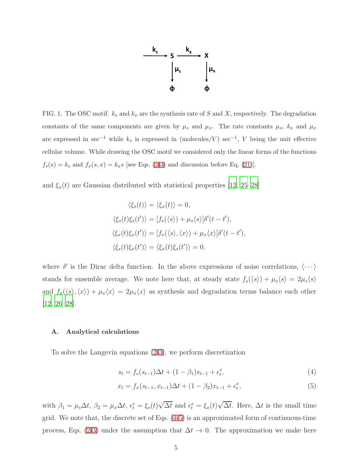

<span id="page-4-0"></span>FIG. 1. The OSC motif.  $k_s$  and  $k_x$  are the synthesis rate of S and X, respectively. The degradation constants of the same components are given by  $\mu_s$  and  $\mu_x$ . The rate constants  $\mu_s$ ,  $k_x$  and  $\mu_x$ are expressed in sec<sup>-1</sup> while  $k_s$  is expressed in (molecules/V) sec<sup>-1</sup>, V being the unit effective cellular volume. While drawing the OSC motif we considered only the linear forms of the functions  $f_s(s) = k_s$  and  $f_x(s, x) = k_x s$  [see Eqs. [\(2-3\)](#page-3-0) and discussion before Eq. [\(21\)](#page-8-0)].

and  $\xi_x(t)$  are Gaussian distributed with statistical properties [\[12](#page-24-6), [25](#page-24-18)[–28\]](#page-24-19)

$$
\langle \xi_s(t) \rangle = \langle \xi_x(t) \rangle = 0,
$$
  

$$
\langle \xi_s(t) \xi_s(t') \rangle = [f_s(\langle s \rangle) + \mu_s \langle s \rangle] \delta'(t - t'),
$$
  

$$
\langle \xi_x(t) \xi_x(t') \rangle = [f_x(\langle s \rangle, \langle x \rangle) + \mu_x \langle x \rangle] \delta'(t - t'),
$$
  

$$
\langle \xi_s(t) \xi_x(t') \rangle = \langle \xi_x(t) \xi_s(t') \rangle = 0.
$$

where  $\delta'$  is the Dirac delta function. In the above expressions of noise correlations,  $\langle \cdots \rangle$ stands for ensemble average. We note here that, at steady state  $f_s(\langle s \rangle) + \mu_s \langle s \rangle = 2\mu_s \langle s \rangle$ and  $f_x(\langle s\rangle, \langle x\rangle) + \mu_x\langle x\rangle = 2\mu_x\langle x\rangle$  as synthesis and degradation terms balance each other [\[12](#page-24-6), [26](#page-24-20)[–28](#page-24-19)].

#### A. Analytical calculations

To solve the Langevin equations [\(2-3\)](#page-3-0), we perform discretization

<span id="page-4-1"></span>
$$
s_t = f_s(s_{t-1})\Delta t + (1 - \beta_1)s_{t-1} + \epsilon_t^s,
$$
\n(4)

$$
x_t = f_x(s_{t-1}, x_{t-1})\Delta t + (1 - \beta_2)x_{t-1} + \epsilon_t^x,
$$
\n(5)

with  $\beta_1 = \mu_s \Delta t$ ,  $\beta_2 = \mu_x \Delta t$ ,  $\epsilon_t^s = \xi_s(t) \sqrt{\Delta t}$  and  $\epsilon_t^x = \xi_x(t) \sqrt{\Delta t}$ . Here,  $\Delta t$  is the small time grid. We note that, the discrete set of Eqs. [\(4-5\)](#page-4-1) is an approximated form of continuous-time process, Eqs. [\(2-3\)](#page-3-0) under the assumption that  $\Delta t \to 0$ . The approximation we make here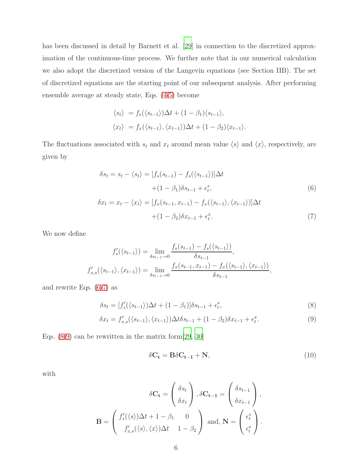has been discussed in detail by Barnett et al. [\[29](#page-25-0)] in connection to the discretized approximation of the continuous-time process. We further note that in our numerical calculation we also adopt the discretized version of the Langevin equations (see Section IIB). The set of discretized equations are the starting point of our subsequent analysis. After performing ensemble average at steady state, Eqs. [\(4-5\)](#page-4-1) become

$$
\langle s_t \rangle = f_s(\langle s_{t-1} \rangle) \Delta t + (1 - \beta_1) \langle s_{t-1} \rangle,
$$
  

$$
\langle x_t \rangle = f_x(\langle s_{t-1} \rangle, \langle x_{t-1} \rangle) \Delta t + (1 - \beta_2) \langle x_{t-1} \rangle.
$$

The fluctuations associated with  $s_t$  and  $x_t$  around mean value  $\langle s \rangle$  and  $\langle x \rangle$ , respectively, are given by

<span id="page-5-0"></span>
$$
\delta s_t = s_t - \langle s_t \rangle = [f_s(s_{t-1}) - f_s(\langle s_{t-1} \rangle)] \Delta t
$$
  
+ 
$$
(1 - \beta_1) \delta s_{t-1} + \epsilon_t^s,
$$
  

$$
\delta x_t = x_t - \langle x_t \rangle = [f_x(s_{t-1}, x_{t-1}) - f_x(\langle s_{t-1} \rangle, \langle x_{t-1} \rangle)] \Delta t
$$
  
+ 
$$
(1 - \beta_2) \delta x_{t-1} + \epsilon_t^x.
$$
  
(7)

We now define

$$
f'_{s}(\langle s_{t-1} \rangle) = \lim_{\delta s_{t-1} \to 0} \frac{f_{s}(s_{t-1}) - f_{s}(\langle s_{t-1} \rangle)}{\delta s_{t-1}},
$$
  

$$
f'_{x,s}(\langle s_{t-1} \rangle, \langle x_{t-1} \rangle) = \lim_{\delta s_{t-1} \to 0} \frac{f_{x}(s_{t-1}, x_{t-1}) - f_{x}(\langle s_{t-1} \rangle, \langle x_{t-1} \rangle)}{\delta s_{t-1}},
$$

and rewrite Eqs. [\(6-7\)](#page-5-0) as

<span id="page-5-1"></span>
$$
\delta s_t = [f'_s(\langle s_{t-1} \rangle) \Delta t + (1 - \beta_1)] \delta s_{t-1} + \epsilon_t^s,
$$
\n(8)

$$
\delta x_t = f'_{x,s}(\langle s_{t-1} \rangle, \langle x_{t-1} \rangle) \Delta t \delta s_{t-1} + (1 - \beta_2) \delta x_{t-1} + \epsilon_t^x. \tag{9}
$$

Eqs.  $(8-9)$  can be rewritten in the matrix form  $[29, 30]$  $[29, 30]$  $[29, 30]$  $[29, 30]$ 

<span id="page-5-2"></span>
$$
\delta \mathbf{C_t} = \mathbf{B} \delta \mathbf{C_{t-1}} + \mathbf{N},\tag{10}
$$

with

$$
\delta \mathbf{C}_{\mathbf{t}} = \begin{pmatrix} \delta s_t \\ \delta x_t \end{pmatrix}, \delta \mathbf{C}_{\mathbf{t}-\mathbf{1}} = \begin{pmatrix} \delta s_{t-1} \\ \delta x_{t-1} \end{pmatrix},
$$

$$
\mathbf{B} = \begin{pmatrix} f'_s(\langle s \rangle) \Delta t + 1 - \beta_1 & 0 \\ f'_{x,s}(\langle s \rangle, \langle x \rangle) \Delta t & 1 - \beta_2 \end{pmatrix} \text{ and, } \mathbf{N} = \begin{pmatrix} \epsilon_t^s \\ \epsilon_t^x \end{pmatrix}.
$$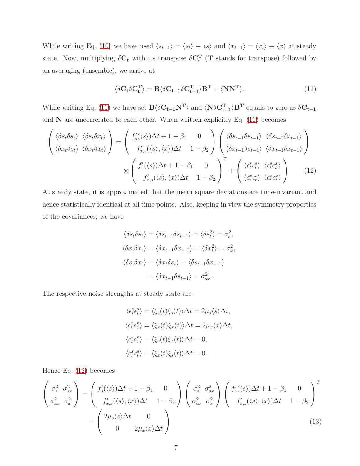While writing Eq. [\(10\)](#page-5-2) we have used  $\langle s_{t-1} \rangle = \langle s_t \rangle \equiv \langle s \rangle$  and  $\langle x_{t-1} \rangle = \langle x_t \rangle \equiv \langle x \rangle$  at steady state. Now, multiplying  $\delta C_t$  with its transpose  $\delta C_t^T$  (T stands for transpose) followed by an averaging (ensemble), we arrive at

<span id="page-6-0"></span>
$$
\langle \delta C_t \delta C_t^{\mathbf{T}} \rangle = \mathbf{B} \langle \delta C_{t-1} \delta C_{t-1}^{\mathbf{T}} \rangle \mathbf{B}^{\mathbf{T}} + \langle \mathbf{N} \mathbf{N}^{\mathbf{T}} \rangle.
$$
 (11)

While writing Eq. [\(11\)](#page-6-0) we have set  $B\langle \delta C_{t-1} N^{T} \rangle$  and  $\langle N \delta C_{t-1}^{T} \rangle B^{T}$  equals to zero as  $\delta C_{t-1}$ and  $N$  are uncorrelated to each other. When written explicitly Eq.  $(11)$  becomes

<span id="page-6-1"></span>
$$
\begin{pmatrix}\n\langle \delta s_t \delta s_t \rangle & \langle \delta s_t \delta x_t \rangle \\
\langle \delta x_t \delta s_t \rangle & \langle \delta x_t \delta x_t \rangle\n\end{pmatrix} = \begin{pmatrix}\nf'_s(\langle s \rangle) \Delta t + 1 - \beta_1 & 0 \\
f'_{x,s}(\langle s \rangle, \langle x \rangle) \Delta t & 1 - \beta_2\n\end{pmatrix} \begin{pmatrix}\n\langle \delta s_{t-1} \delta s_{t-1} \rangle & \langle \delta s_{t-1} \delta x_{t-1} \rangle \\
\langle \delta x_{t-1} \delta s_{t-1} \rangle & \langle \delta x_{t-1} \delta x_{t-1} \rangle\n\end{pmatrix} \times \begin{pmatrix}\nf'_s(\langle s \rangle) \Delta t + 1 - \beta_1 & 0 \\
f'_{x,s}(\langle s \rangle, \langle x \rangle) \Delta t & 1 - \beta_2\n\end{pmatrix}^T + \begin{pmatrix}\n\langle \epsilon_t^s \epsilon_t^s \rangle & \langle \epsilon_t^s \epsilon_t^s \rangle \\
\langle \epsilon_t^x \epsilon_t^s \rangle & \langle \epsilon_t^x \epsilon_t^s \rangle\n\end{pmatrix}
$$
(12)

At steady state, it is approximated that the mean square deviations are time-invariant and hence statistically identical at all time points. Also, keeping in view the symmetry properties of the covariances, we have

$$
\langle \delta s_t \delta s_t \rangle = \langle \delta s_{t-1} \delta s_{t-1} \rangle = \langle \delta s_t^2 \rangle = \sigma_s^2,
$$
  

$$
\langle \delta x_t \delta x_t \rangle = \langle \delta x_{t-1} \delta x_{t-1} \rangle = \langle \delta x_t^2 \rangle = \sigma_x^2,
$$
  

$$
\langle \delta s_t \delta x_t \rangle = \langle \delta x_t \delta s_t \rangle = \langle \delta s_{t-1} \delta x_{t-1} \rangle
$$
  

$$
= \langle \delta x_{t-1} \delta s_{t-1} \rangle = \sigma_{sx}^2.
$$

The respective noise strengths at steady state are

$$
\langle \epsilon_t^s \epsilon_t^s \rangle = \langle \xi_s(t) \xi_s(t) \rangle \Delta t = 2\mu_s \langle s \rangle \Delta t,
$$
  

$$
\langle \epsilon_t^x \epsilon_t^x \rangle = \langle \xi_x(t) \xi_x(t) \rangle \Delta t = 2\mu_x \langle x \rangle \Delta t,
$$
  

$$
\langle \epsilon_t^s \epsilon_t^x \rangle = \langle \xi_s(t) \xi_x(t) \rangle \Delta t = 0,
$$
  

$$
\langle \epsilon_t^x \epsilon_t^s \rangle = \langle \xi_x(t) \xi_s(t) \rangle \Delta t = 0.
$$

Hence Eq. [\(12\)](#page-6-1) becomes

<span id="page-6-2"></span>
$$
\begin{pmatrix}\n\sigma_s^2 & \sigma_{sx}^2 \\
\sigma_{sx}^2 & \sigma_x^2\n\end{pmatrix} = \begin{pmatrix}\nf_s'(\langle s \rangle) \Delta t + 1 - \beta_1 & 0 \\
f_{x,s}'(\langle s \rangle, \langle x \rangle) \Delta t & 1 - \beta_2\n\end{pmatrix} \begin{pmatrix}\n\sigma_s^2 & \sigma_{sx}^2 \\
\sigma_{sx}^2 & \sigma_x^2\n\end{pmatrix} \begin{pmatrix}\nf_s'(\langle s \rangle) \Delta t + 1 - \beta_1 & 0 \\
f_{x,s}'(\langle s \rangle, \langle x \rangle) \Delta t & 1 - \beta_2\n\end{pmatrix}^T
$$
\n
$$
+ \begin{pmatrix}\n2\mu_s \langle s \rangle \Delta t & 0 \\
0 & 2\mu_x \langle x \rangle \Delta t\n\end{pmatrix}
$$
\n(13)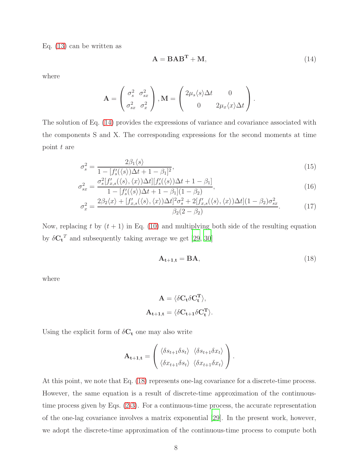Eq. [\(13\)](#page-6-2) can be written as

<span id="page-7-0"></span>
$$
\mathbf{A} = \mathbf{B} \mathbf{A} \mathbf{B}^{\mathbf{T}} + \mathbf{M},\tag{14}
$$

where

$$
\mathbf{A} = \begin{pmatrix} \sigma_s^2 & \sigma_{sx}^2 \\ \sigma_{sx}^2 & \sigma_x^2 \end{pmatrix}, \mathbf{M} = \begin{pmatrix} 2\mu_s \langle s \rangle \Delta t & 0 \\ 0 & 2\mu_x \langle x \rangle \Delta t \end{pmatrix}.
$$

The solution of Eq. [\(14\)](#page-7-0) provides the expressions of variance and covariance associated with the components S and X. The corresponding expressions for the second moments at time point t are

<span id="page-7-2"></span>
$$
\sigma_s^2 = \frac{2\beta_1 \langle s \rangle}{1 - [f_s'(\langle s \rangle) \Delta t + 1 - \beta_1]^2},\tag{15}
$$

$$
\sigma_{sx}^2 = \frac{\sigma_s^2[f_{x,s}'(\langle s \rangle, \langle x \rangle) \Delta t][f_s'(\langle s \rangle) \Delta t + 1 - \beta_1]}{1 - [f_s'(\langle s \rangle) \Delta t + 1 - \beta_1](1 - \beta_2)},\tag{16}
$$

$$
\sigma_x^2 = \frac{2\beta_2\langle x \rangle + [f'_{x,s}(\langle s \rangle, \langle x \rangle)\Delta t]^2 \sigma_s^2 + 2[f'_{x,s}(\langle s \rangle, \langle x \rangle)\Delta t](1 - \beta_2)\sigma_{sx}^2}{\beta_2(2 - \beta_2)}.
$$
(17)

Now, replacing t by  $(t + 1)$  in Eq. [\(10\)](#page-5-2) and multiplying both side of the resulting equation by  $\delta C_t^T$  and subsequently taking average we get [\[29](#page-25-0), [30](#page-25-1)]

<span id="page-7-1"></span>
$$
\mathbf{A}_{t+1,t} = \mathbf{B}\mathbf{A},\tag{18}
$$

where

$$
A=\langle \delta C_t \delta C_t^T \rangle,
$$
  

$$
A_{t+1,t}=\langle \delta C_{t+1} \delta C_t^T \rangle.
$$

Using the explicit form of  $\delta C_t$  one may also write

$$
\mathbf{A_{t+1,t}} = \begin{pmatrix} \langle \delta s_{t+1} \delta s_t \rangle & \langle \delta s_{t+1} \delta x_t \rangle \\ \langle \delta x_{t+1} \delta s_t \rangle & \langle \delta x_{t+1} \delta x_t \rangle \end{pmatrix}.
$$

At this point, we note that Eq. [\(18\)](#page-7-1) represents one-lag covariance for a discrete-time process. However, the same equation is a result of discrete-time approximation of the continuoustime process given by Eqs. [\(2-3\)](#page-3-0). For a continuous-time process, the accurate representation of the one-lag covariance involves a matrix exponential [\[29\]](#page-25-0). In the present work, however, we adopt the discrete-time approximation of the continuous-time process to compute both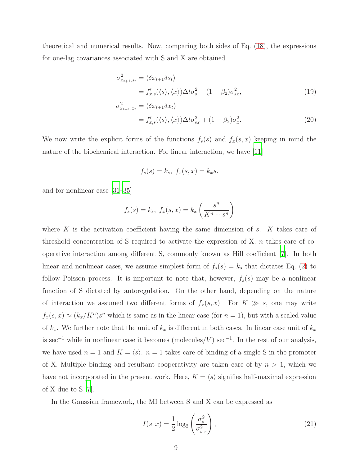theoretical and numerical results. Now, comparing both sides of Eq. [\(18\)](#page-7-1), the expressions for one-lag covariances associated with S and X are obtained

$$
\sigma_{x_{t+1},s_t}^2 = \langle \delta x_{t+1} \delta s_t \rangle
$$
  
=  $f'_{x,s}(\langle s \rangle, \langle x \rangle) \Delta t \sigma_s^2 + (1 - \beta_2) \sigma_{sx}^2,$   

$$
\sigma_{x_{t+1},x_t}^2 = \langle \delta x_{t+1} \delta x_t \rangle
$$
 (19)

$$
\begin{aligned} \n\mathbf{z}_{t+1,x_t} &= \langle \delta x_{t+1} \delta x_t \rangle \\ \n&= f'_{x,s}(\langle s \rangle, \langle x \rangle) \Delta t \sigma_{sx}^2 + (1 - \beta_2) \sigma_x^2. \n\end{aligned} \tag{20}
$$

We now write the explicit forms of the functions  $f_s(s)$  and  $f_x(s, x)$  keeping in mind the nature of the biochemical interaction. For linear interaction, we have [\[11](#page-24-5)]

$$
f_s(s) = k_s, \ f_x(s, x) = k_x s.
$$

and for nonlinear case [\[31](#page-25-2)[–35](#page-25-3)]

$$
f_s(s) = k_s, \ f_x(s,x) = k_x \left(\frac{s^n}{K^n + s^n}\right)
$$

where  $K$  is the activation coefficient having the same dimension of  $s$ .  $K$  takes care of threshold concentration of S required to activate the expression of X.  $n$  takes care of cooperative interaction among different S, commonly known as Hill coefficient [\[7\]](#page-24-2). In both linear and nonlinear cases, we assume simplest form of  $f_s(s) = k_s$  that dictates Eq. [\(2\)](#page-3-0) to follow Poisson process. It is important to note that, however,  $f_s(s)$  may be a nonlinear function of S dictated by autoregulation. On the other hand, depending on the nature of interaction we assumed two different forms of  $f_x(s, x)$ . For  $K \gg s$ , one may write  $f_x(s, x) \approx (k_x/K^n)s^n$  which is same as in the linear case (for  $n = 1$ ), but with a scaled value of  $k_x$ . We further note that the unit of  $k_x$  is different in both cases. In linear case unit of  $k_x$ is sec<sup>-1</sup> while in nonlinear case it becomes (molecules/V) sec<sup>-1</sup>. In the rest of our analysis, we have used  $n = 1$  and  $K = \langle s \rangle$ .  $n = 1$  takes care of binding of a single S in the promoter of X. Multiple binding and resultant cooperativity are taken care of by  $n > 1$ , which we have not incorporated in the present work. Here,  $K = \langle s \rangle$  signifies half-maximal expression of X due to S [\[7\]](#page-24-2).

In the Gaussian framework, the MI between S and X can be expressed as

<span id="page-8-0"></span>
$$
I(s;x) = \frac{1}{2}\log_2\left(\frac{\sigma_s^2}{\sigma_{s|x}^2}\right),\tag{21}
$$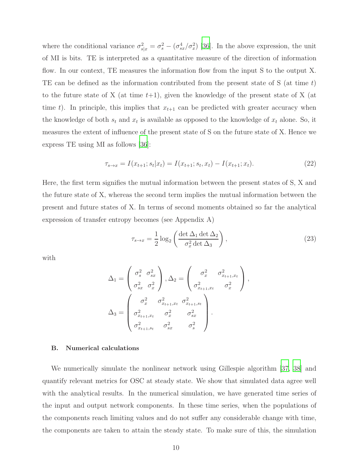where the conditional variance  $\sigma_{s|x}^2 = \sigma_s^2 - (\sigma_{sx}^4/\sigma_x^2)$  [\[36](#page-25-4)]. In the above expression, the unit of MI is bits. TE is interpreted as a quantitative measure of the direction of information flow. In our context, TE measures the information flow from the input S to the output X. TE can be defined as the information contributed from the present state of S (at time t) to the future state of X (at time  $t+1$ ), given the knowledge of the present state of X (at time t). In principle, this implies that  $x_{t+1}$  can be predicted with greater accuracy when the knowledge of both  $s_t$  and  $x_t$  is available as opposed to the knowledge of  $x_t$  alone. So, it measures the extent of influence of the present state of S on the future state of X. Hence we express TE using MI as follows [\[36](#page-25-4)]:

<span id="page-9-0"></span>
$$
\tau_{s \to x} = I(x_{t+1}; s_t | x_t) = I(x_{t+1}; s_t, x_t) - I(x_{t+1}; x_t). \tag{22}
$$

Here, the first term signifies the mutual information between the present states of S, X and the future state of X, whereas the second term implies the mutual information between the present and future states of X. In terms of second moments obtained so far the analytical expression of transfer entropy becomes (see Appendix A)

$$
\tau_{s \to x} = \frac{1}{2} \log_2 \left( \frac{\det \Delta_1 \det \Delta_2}{\sigma_x^2 \det \Delta_3} \right),\tag{23}
$$

with

$$
\Delta_1 = \begin{pmatrix} \sigma_s^2 & \sigma_{sx}^2 \\ \sigma_{sx}^2 & \sigma_x^2 \end{pmatrix}, \Delta_2 = \begin{pmatrix} \sigma_x^2 & \sigma_{x_{t+1},x_t}^2 \\ \sigma_{x_{t+1},x_t}^2 & \sigma_x^2 \end{pmatrix},
$$

$$
\Delta_3 = \begin{pmatrix} \sigma_x^2 & \sigma_{x_{t+1},x_t}^2 & \sigma_{x_{t+1},s_t}^2 \\ \sigma_{x_{t+1},x_t}^2 & \sigma_x^2 & \sigma_{sx}^2 \\ \sigma_{x_{t+1},s_t}^2 & \sigma_{sx}^2 & \sigma_s^2 \end{pmatrix}.
$$

#### B. Numerical calculations

We numerically simulate the nonlinear network using Gillespie algorithm [\[37,](#page-25-5) [38\]](#page-25-6) and quantify relevant metrics for OSC at steady state. We show that simulated data agree well with the analytical results. In the numerical simulation, we have generated time series of the input and output network components. In these time series, when the populations of the components reach limiting values and do not suffer any considerable change with time, the components are taken to attain the steady state. To make sure of this, the simulation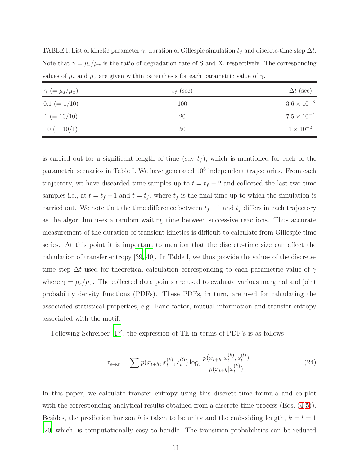TABLE I. List of kinetic parameter  $\gamma$ , duration of Gillespie simulation  $t_f$  and discrete-time step  $\Delta t$ . Note that  $\gamma = \mu_s/\mu_x$  is the ratio of degradation rate of S and X, respectively. The corresponding values of  $\mu_s$  and  $\mu_x$  are given within parenthesis for each parametric value of  $\gamma$ .

| $\gamma$ (= $\mu_s/\mu_x$ ) | $t_f$ (sec) | $\Delta t$ (sec)     |
|-----------------------------|-------------|----------------------|
| $0.1 (= 1/10)$              | 100         | $3.6 \times 10^{-3}$ |
| $1 (= 10/10)$               | 20          | $7.5 \times 10^{-4}$ |
| $10 (= 10/1)$               | 50          | $1 \times 10^{-3}$   |

is carried out for a significant length of time (say  $t_f$ ), which is mentioned for each of the parametric scenarios in Table I. We have generated  $10^6$  independent trajectories. From each trajectory, we have discarded time samples up to  $t = t_f - 2$  and collected the last two time samples i.e., at  $t = t_f - 1$  and  $t = t_f$ , where  $t_f$  is the final time up to which the simulation is carried out. We note that the time difference between  $t_f - 1$  and  $t_f$  differs in each trajectory as the algorithm uses a random waiting time between successive reactions. Thus accurate measurement of the duration of transient kinetics is difficult to calculate from Gillespie time series. At this point it is important to mention that the discrete-time size can affect the calculation of transfer entropy [\[39](#page-25-7), [40](#page-25-8)]. In Table I, we thus provide the values of the discretetime step  $\Delta t$  used for theoretical calculation corresponding to each parametric value of  $\gamma$ where  $\gamma = \mu_s/\mu_x$ . The collected data points are used to evaluate various marginal and joint probability density functions (PDFs). These PDFs, in turn, are used for calculating the associated statistical properties, e.g. Fano factor, mutual information and transfer entropy associated with the motif.

Following Schreiber [\[17\]](#page-24-10), the expression of TE in terms of PDF's is as follows

$$
\tau_{s \to x} = \sum p(x_{t+h}, x_t^{(k)}, s_t^{(l)}) \log_2 \frac{p(x_{t+h}|x_t^{(k)}, s_t^{(l)})}{p(x_{t+h}|x_t^{(k)})}.
$$
\n(24)

In this paper, we calculate transfer entropy using this discrete-time formula and co-plot with the corresponding analytical results obtained from a discrete-time process (Eqs.  $(4-5)$ ). Besides, the prediction horizon h is taken to be unity and the embedding length,  $k = l = 1$ [\[20](#page-24-13)] which, is computationally easy to handle. The transition probabilities can be reduced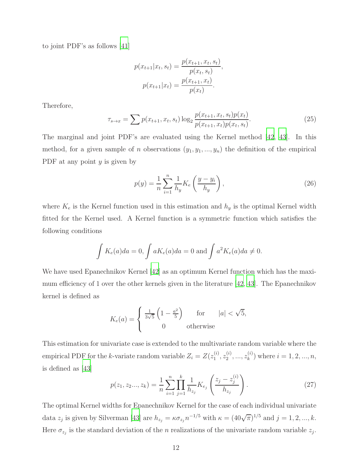to joint PDF's as follows [\[41\]](#page-25-9)

$$
p(x_{t+1}|x_t, s_t) = \frac{p(x_{t+1}, x_t, s_t)}{p(x_t, s_t)},
$$

$$
p(x_{t+1}|x_t) = \frac{p(x_{t+1}, x_t)}{p(x_t)}.
$$

Therefore,

$$
\tau_{s \to x} = \sum p(x_{t+1}, x_t, s_t) \log_2 \frac{p(x_{t+1}, x_t, s_t) p(x_t)}{p(x_{t+1}, x_t) p(x_t, s_t)}.
$$
\n(25)

The marginal and joint PDF's are evaluated using the Kernel method [\[42](#page-25-10), [43\]](#page-25-11). In this method, for a given sample of n observations  $(y_1, y_1, ..., y_n)$  the definition of the empirical PDF at any point  $y$  is given by

$$
p(y) = \frac{1}{n} \sum_{i=1}^{n} \frac{1}{h_y} K_e \left(\frac{y - y_i}{h_y}\right),\tag{26}
$$

where  $K_e$  is the Kernel function used in this estimation and  $h_y$  is the optimal Kernel width fitted for the Kernel used. A Kernel function is a symmetric function which satisfies the following conditions

$$
\int K_e(a)da = 0, \int aK_e(a)da = 0 \text{ and } \int a^2K_e(a)da \neq 0.
$$

We have used Epanechnikov Kernel [\[42\]](#page-25-10) as an optimum Kernel function which has the maximum efficiency of 1 over the other kernels given in the literature [\[42](#page-25-10), [43](#page-25-11)]. The Epanechnikov kernel is defined as

$$
K_e(a) = \begin{cases} \frac{1}{3\sqrt{5}} \left( 1 - \frac{a^2}{5} \right) & \text{for} \quad |a| < \sqrt{5}, \\ 0 & \text{otherwise} \end{cases}
$$

This estimation for univariate case is extended to the multivariate random variable where the empirical PDF for the k-variate random variable  $Z_i = Z(z_1^{(i)})$  $\overset{(i)}{1},z_2^{(i)}$  $\hat{z}_2^{(i)},...,\hat{z}_k^{(i)}$  $k^{(i)}$  where  $i = 1, 2, ..., n$ , is defined as [\[43](#page-25-11)]

$$
p(z_1, z_2..., z_k) = \frac{1}{n} \sum_{i=1}^n \prod_{j=1}^k \frac{1}{h_{z_j}} K_{e_j} \left( \frac{z_j - z_j^{(i)}}{h_{z_j}} \right).
$$
 (27)

The optimal Kernel widths for Epanechnikov Kernel for the case of each individual univariate data  $z_j$  is given by Silverman [\[43\]](#page-25-11) are  $h_{z_j} = \kappa \sigma_{z_j} n^{-1/5}$  with  $\kappa = (40\sqrt{\pi})^{1/5}$  and  $j = 1, 2, ..., k$ . Here  $\sigma_{z_j}$  is the standard deviation of the *n* realizations of the univariate random variable  $z_j$ .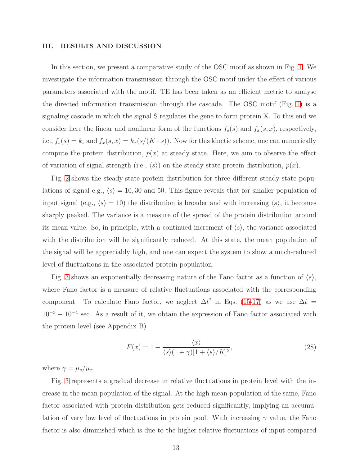#### III. RESULTS AND DISCUSSION

In this section, we present a comparative study of the OSC motif as shown in Fig. [1.](#page-4-0) We investigate the information transmission through the OSC motif under the effect of various parameters associated with the motif. TE has been taken as an efficient metric to analyse the directed information transmission through the cascade. The OSC motif (Fig. [1\)](#page-4-0) is a signaling cascade in which the signal S regulates the gene to form protein X. To this end we consider here the linear and nonlinear form of the functions  $f_s(s)$  and  $f_x(s, x)$ , respectively, i.e.,  $f_s(s) = k_s$  and  $f_x(s, x) = k_x(s/(K+s))$ . Now for this kinetic scheme, one can numerically compute the protein distribution,  $p(x)$  at steady state. Here, we aim to observe the effect of variation of signal strength (i.e.,  $\langle s \rangle$ ) on the steady state protein distribution,  $p(x)$ .

Fig. [2](#page-13-0) shows the steady-state protein distribution for three different steady-state populations of signal e.g.,  $\langle s \rangle = 10, 30$  and 50. This figure reveals that for smaller population of input signal (e.g.,  $\langle s \rangle = 10$ ) the distribution is broader and with increasing  $\langle s \rangle$ , it becomes sharply peaked. The variance is a measure of the spread of the protein distribution around its mean value. So, in principle, with a continued increment of  $\langle s \rangle$ , the variance associated with the distribution will be significantly reduced. At this state, the mean population of the signal will be appreciably high, and one can expect the system to show a much-reduced level of fluctuations in the associated protein population.

Fig. [3](#page-14-0) shows an exponentially decreasing nature of the Fano factor as a function of  $\langle s \rangle$ , where Fano factor is a measure of relative fluctuations associated with the corresponding component. To calculate Fano factor, we neglect  $\Delta t^2$  in Eqs. [\(15-17\)](#page-7-2) as we use  $\Delta t =$  $10^{-3} - 10^{-4}$  sec. As a result of it, we obtain the expression of Fano factor associated with the protein level (see Appendix B)

<span id="page-12-0"></span>
$$
F(x) = 1 + \frac{\langle x \rangle}{\langle s \rangle (1 + \gamma)[1 + \langle s \rangle / K]^2},\tag{28}
$$

where  $\gamma = \mu_s/\mu_x$ .

Fig. [3](#page-14-0) represents a gradual decrease in relative fluctuations in protein level with the increase in the mean population of the signal. At the high mean population of the same, Fano factor associated with protein distribution gets reduced significantly, implying an accumulation of very low level of fluctuations in protein pool. With increasing  $\gamma$  value, the Fano factor is also diminished which is due to the higher relative fluctuations of input compared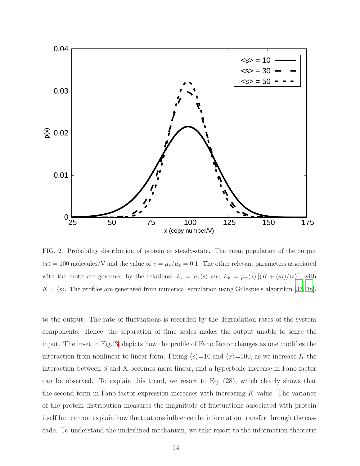

<span id="page-13-0"></span>FIG. 2. Probability distribution of protein at steady-state. The mean population of the output  $\langle x \rangle = 100$  molecules/V and the value of  $\gamma = \mu_s/\mu_x = 0.1$ . The other relevant parameters associated with the motif are governed by the relations:  $k_s = \mu_s \langle s \rangle$  and  $k_x = \mu_x \langle x \rangle [(K + \langle s \rangle) / \langle s \rangle]$ , with  $K = \langle s \rangle$ . The profiles are generated from numerical simulation using Gillespie's algorithm [\[37](#page-25-5), [38](#page-25-6)].

to the output. The rate of fluctuations is recorded by the degradation rates of the system components. Hence, the separation of time scales makes the output unable to sense the input. The inset in Fig. [3,](#page-14-0) depicts how the profile of Fano factor changes as one modifies the interaction from nonlinear to linear form. Fixing  $\langle s \rangle=10$  and  $\langle x \rangle=100$ , as we increase K the interaction between S and X becomes more linear, and a hyperbolic increase in Fano factor can be observed. To explain this trend, we resort to Eq. [\(28\)](#page-12-0), which clearly shows that the second term in Fano factor expression increases with increasing  $K$  value. The variance of the protein distribution measures the magnitude of fluctuations associated with protein itself but cannot explain how fluctuations influence the information transfer through the cascade. To understand the underlined mechanism, we take resort to the information-theoretic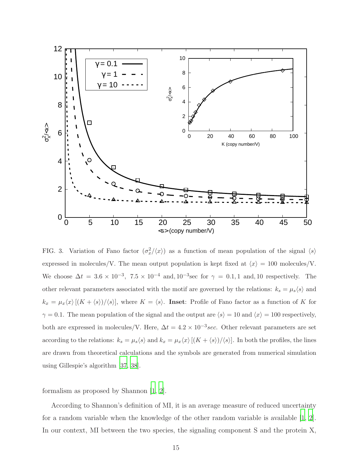

<span id="page-14-0"></span>FIG. 3. Variation of Fano factor  $(\sigma_x^2/\langle x \rangle)$  as a function of mean population of the signal  $\langle s \rangle$ expressed in molecules/V. The mean output population is kept fixed at  $\langle x \rangle = 100$  molecules/V. We choose  $\Delta t = 3.6 \times 10^{-3}$ ,  $7.5 \times 10^{-4}$  and,  $10^{-3}$  sec for  $\gamma = 0.1, 1$  and, 10 respectively. The other relevant parameters associated with the motif are governed by the relations:  $k_s = \mu_s \langle s \rangle$  and  $k_x = \mu_x \langle x \rangle [(K + \langle s \rangle) / \langle s \rangle],$  where  $K = \langle s \rangle$ . Inset: Profile of Fano factor as a function of K for  $\gamma = 0.1$ . The mean population of the signal and the output are  $\langle s \rangle = 10$  and  $\langle x \rangle = 100$  respectively, both are expressed in molecules/V. Here,  $\Delta t = 4.2 \times 10^{-3} sec$ . Other relevant parameters are set according to the relations:  $k_s = \mu_s \langle s \rangle$  and  $k_x = \mu_x \langle x \rangle [(K + \langle s \rangle) / \langle s \rangle]$ . In both the profiles, the lines are drawn from theoretical calculations and the symbols are generated from numerical simulation using Gillespie's algorithm [\[37,](#page-25-5) [38](#page-25-6)].

formalism as proposed by Shannon [\[1](#page-23-0), [2](#page-23-1)].

According to Shannon's definition of MI, it is an average measure of reduced uncertainty for a random variable when the knowledge of the other random variable is available [\[1](#page-23-0), [2\]](#page-23-1). In our context, MI between the two species, the signaling component S and the protein X,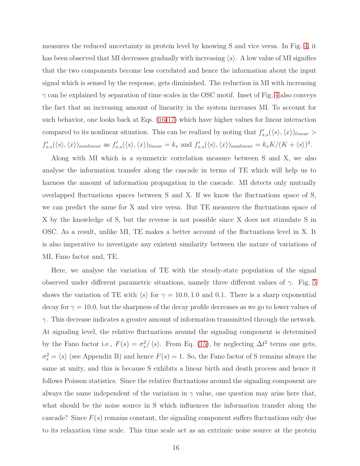measures the reduced uncertainty in protein level by knowing S and vice versa. In Fig. [4,](#page-16-0) it has been observed that MI decreases gradually with increasing  $\langle s \rangle$ . A low value of MI signifies that the two components become less correlated and hence the information about the input signal which is sensed by the response, gets diminished. The reduction in MI with increasing  $\gamma$  can be explained by separation of time scales in the OSC motif. Inset of Fig. [4](#page-16-0) also conveys the fact that an increasing amount of linearity in the system increases MI. To account for such behavior, one looks back at Eqs. [\(16-17\)](#page-7-2) which have higher values for linear interaction compared to its nonlinear situation. This can be realized by noting that  $f'_{x,s}(\langle s \rangle, \langle x \rangle)_{linear} >$  $f'_{x,s}(\langle s \rangle, \langle x \rangle)_{nonlinear}$  as  $f'_{x,s}(\langle s \rangle, \langle x \rangle)_{linear} = k_x$  and  $f'_{x,s}(\langle s \rangle, \langle x \rangle)_{nonlinear} = k_x K/(K + \langle s \rangle)^2$ .

Along with MI which is a symmetric correlation measure between S and X, we also analyse the information transfer along the cascade in terms of TE which will help us to harness the amount of information propagation in the cascade. MI detects only mutually overlapped fluctuations spaces between S and X. If we know the fluctuations space of S, we can predict the same for X and vice versa. But TE measures the fluctuations space of X by the knowledge of S, but the reverse is not possible since X does not stimulate S in OSC. As a result, unlike MI, TE makes a better account of the fluctuations level in X. It is also imperative to investigate any existent similarity between the nature of variations of MI, Fano factor and, TE.

Here, we analyse the variation of TE with the steady-state population of the signal observed under different parametric situations, namely three different values of  $\gamma$ . Fig. [5](#page-17-0) shows the variation of TE with  $\langle s \rangle$  for  $\gamma = 10.0, 1.0$  and 0.1. There is a sharp exponential decay for  $\gamma = 10.0$ , but the sharpness of the decay profile decreases as we go to lower values of  $\gamma$ . This decrease indicates a greater amount of information transmitted through the network. At signaling level, the relative fluctuations around the signaling component is determined by the Fano factor i.e.,  $F(s) = \sigma_s^2 / \langle s \rangle$ . From Eq. [\(15\)](#page-7-2), by neglecting  $\Delta t^2$  terms one gets,  $\sigma_s^2 = \langle s \rangle$  (see Appendix B) and hence  $F(s) = 1$ . So, the Fano factor of S remains always the same at unity, and this is because S exhibits a linear birth and death process and hence it follows Poisson statistics. Since the relative fluctuations around the signaling component are always the same independent of the variation in  $\gamma$  value, one question may arise here that, what should be the noise source in S which influences the information transfer along the cascade? Since  $F(s)$  remains constant, the signaling component suffers fluctuations only due to its relaxation time scale. This time scale act as an extrinsic noise source at the protein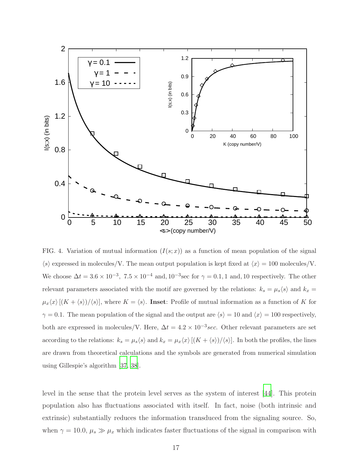

<span id="page-16-0"></span>FIG. 4. Variation of mutual information  $(I(s; x))$  as a function of mean population of the signal  $\langle s \rangle$  expressed in molecules/V. The mean output population is kept fixed at  $\langle x \rangle = 100$  molecules/V. We choose  $\Delta t = 3.6 \times 10^{-3}$ ,  $7.5 \times 10^{-4}$  and,  $10^{-3}$  sec for  $\gamma = 0.1, 1$  and, 10 respectively. The other relevant parameters associated with the motif are governed by the relations:  $k_s = \mu_s \langle s \rangle$  and  $k_x =$  $\mu_x\langle x\rangle[(K + \langle s\rangle)/\langle s\rangle],$  where  $K = \langle s\rangle$ . Inset: Profile of mutual information as a function of K for  $\gamma = 0.1$ . The mean population of the signal and the output are  $\langle s \rangle = 10$  and  $\langle x \rangle = 100$  respectively, both are expressed in molecules/V. Here,  $\Delta t = 4.2 \times 10^{-3} sec$ . Other relevant parameters are set according to the relations:  $k_s = \mu_s \langle s \rangle$  and  $k_x = \mu_x \langle x \rangle [(K + \langle s \rangle) / \langle s \rangle]$ . In both the profiles, the lines are drawn from theoretical calculations and the symbols are generated from numerical simulation using Gillespie's algorithm [\[37,](#page-25-5) [38](#page-25-6)].

level in the sense that the protein level serves as the system of interest [\[44](#page-25-12)]. This protein population also has fluctuations associated with itself. In fact, noise (both intrinsic and extrinsic) substantially reduces the information transduced from the signaling source. So, when  $\gamma = 10.0, \mu_s \gg \mu_x$  which indicates faster fluctuations of the signal in comparison with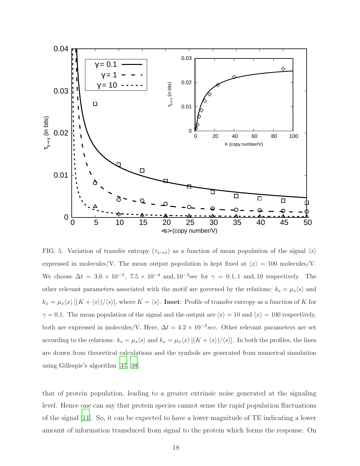

<span id="page-17-0"></span>FIG. 5. Variation of transfer entropy  $(\tau_{s\to x})$  as a function of mean population of the signal  $\langle s \rangle$ expressed in molecules/V. The mean output population is kept fixed at  $\langle x \rangle = 100$  molecules/V. We choose  $\Delta t = 3.6 \times 10^{-3}$ ,  $7.5 \times 10^{-4}$  and,  $10^{-3}$  sec for  $\gamma = 0.1, 1$  and, 10 respectively. The other relevant parameters associated with the motif are governed by the relations:  $k_s = \mu_s \langle s \rangle$  and  $k_x = \mu_x \langle x \rangle [(K + \langle s \rangle) / \langle s \rangle],$  where  $K = \langle s \rangle$ . Inset: Profile of transfer entropy as a function of K for  $\gamma = 0.1$ . The mean population of the signal and the output are  $\langle s \rangle = 10$  and  $\langle x \rangle = 100$  respectively, both are expressed in molecules/V. Here,  $\Delta t = 4.2 \times 10^{-3} sec$ . Other relevant parameters are set according to the relations:  $k_s = \mu_s \langle s \rangle$  and  $k_x = \mu_x \langle x \rangle [(K + \langle s \rangle) / \langle s \rangle]$ . In both the profiles, the lines are drawn from theoretical calculations and the symbols are generated from numerical simulation using Gillespie's algorithm [\[37,](#page-25-5) [38](#page-25-6)].

that of protein population, leading to a greater extrinsic noise generated at the signaling level. Hence one can say that protein species cannot sense the rapid population fluctuations of the signal [\[11](#page-24-5)]. So, it can be expected to have a lower magnitude of TE indicating a lower amount of information transduced from signal to the protein which forms the response. On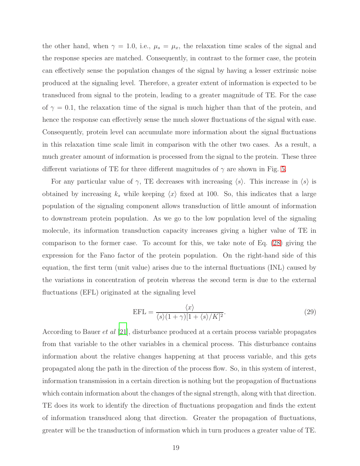the other hand, when  $\gamma = 1.0$ , i.e.,  $\mu_s = \mu_x$ , the relaxation time scales of the signal and the response species are matched. Consequently, in contrast to the former case, the protein can effectively sense the population changes of the signal by having a lesser extrinsic noise produced at the signaling level. Therefore, a greater extent of information is expected to be transduced from signal to the protein, leading to a greater magnitude of TE. For the case of  $\gamma = 0.1$ , the relaxation time of the signal is much higher than that of the protein, and hence the response can effectively sense the much slower fluctuations of the signal with ease. Consequently, protein level can accumulate more information about the signal fluctuations in this relaxation time scale limit in comparison with the other two cases. As a result, a much greater amount of information is processed from the signal to the protein. These three different variations of TE for three different magnitudes of  $\gamma$  are shown in Fig. [5.](#page-17-0)

For any particular value of  $\gamma$ , TE decreases with increasing  $\langle s \rangle$ . This increase in  $\langle s \rangle$  is obtained by increasing  $k_s$  while keeping  $\langle x \rangle$  fixed at 100. So, this indicates that a large population of the signaling component allows transduction of little amount of information to downstream protein population. As we go to the low population level of the signaling molecule, its information transduction capacity increases giving a higher value of TE in comparison to the former case. To account for this, we take note of Eq. [\(28\)](#page-12-0) giving the expression for the Fano factor of the protein population. On the right-hand side of this equation, the first term (unit value) arises due to the internal fluctuations (INL) caused by the variations in concentration of protein whereas the second term is due to the external fluctuations (EFL) originated at the signaling level

$$
EFL = \frac{\langle x \rangle}{\langle s \rangle (1 + \gamma)[1 + \langle s \rangle / K]^2}.
$$
\n(29)

According to Bauer *et al* [\[21](#page-24-14)], disturbance produced at a certain process variable propagates from that variable to the other variables in a chemical process. This disturbance contains information about the relative changes happening at that process variable, and this gets propagated along the path in the direction of the process flow. So, in this system of interest, information transmission in a certain direction is nothing but the propagation of fluctuations which contain information about the changes of the signal strength, along with that direction. TE does its work to identify the direction of fluctuations propagation and finds the extent of information transduced along that direction. Greater the propagation of fluctuations, greater will be the transduction of information which in turn produces a greater value of TE.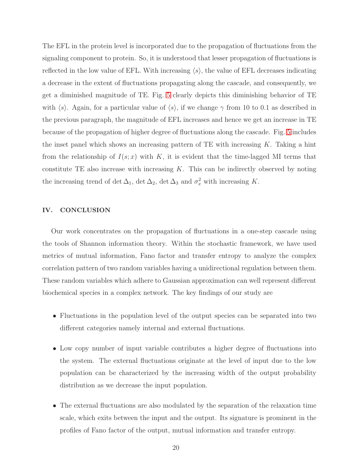The EFL in the protein level is incorporated due to the propagation of fluctuations from the signaling component to protein. So, it is understood that lesser propagation of fluctuations is reflected in the low value of EFL. With increasing  $\langle s \rangle$ , the value of EFL decreases indicating a decrease in the extent of fluctuations propagating along the cascade, and consequently, we get a diminished magnitude of TE. Fig. [5](#page-17-0) clearly depicts this diminishing behavior of TE with  $\langle s \rangle$ . Again, for a particular value of  $\langle s \rangle$ , if we change  $\gamma$  from 10 to 0.1 as described in the previous paragraph, the magnitude of EFL increases and hence we get an increase in TE because of the propagation of higher degree of fluctuations along the cascade. Fig. [5](#page-17-0) includes the inset panel which shows an increasing pattern of TE with increasing  $K$ . Taking a hint from the relationship of  $I(s; x)$  with K, it is evident that the time-lagged MI terms that constitute TE also increase with increasing  $K$ . This can be indirectly observed by noting the increasing trend of det  $\Delta_1$ , det  $\Delta_2$ , det  $\Delta_3$  and  $\sigma_x^2$  with increasing K.

## IV. CONCLUSION

Our work concentrates on the propagation of fluctuations in a one-step cascade using the tools of Shannon information theory. Within the stochastic framework, we have used metrics of mutual information, Fano factor and transfer entropy to analyze the complex correlation pattern of two random variables having a unidirectional regulation between them. These random variables which adhere to Gaussian approximation can well represent different biochemical species in a complex network. The key findings of our study are

- Fluctuations in the population level of the output species can be separated into two different categories namely internal and external fluctuations.
- Low copy number of input variable contributes a higher degree of fluctuations into the system. The external fluctuations originate at the level of input due to the low population can be characterized by the increasing width of the output probability distribution as we decrease the input population.
- The external fluctuations are also modulated by the separation of the relaxation time scale, which exits between the input and the output. Its signature is prominent in the profiles of Fano factor of the output, mutual information and transfer entropy.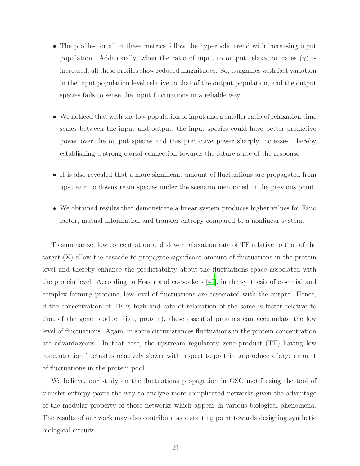- The profiles for all of these metrics follow the hyperbolic trend with increasing input population. Additionally, when the ratio of input to output relaxation rates  $(\gamma)$  is increased, all these profiles show reduced magnitudes. So, it signifies with fast variation in the input population level relative to that of the output population, and the output species fails to sense the input fluctuations in a reliable way.
- We noticed that with the low population of input and a smaller ratio of relaxation time scales between the input and output, the input species could have better predictive power over the output species and this predictive power sharply increases, thereby establishing a strong causal connection towards the future state of the response.
- It is also revealed that a more significant amount of fluctuations are propagated from upstream to downstream species under the scenario mentioned in the previous point.
- We obtained results that demonstrate a linear system produces higher values for Fano factor, mutual information and transfer entropy compared to a nonlinear system.

To summarize, low concentration and slower relaxation rate of TF relative to that of the target (X) allow the cascade to propagate significant amount of fluctuations in the protein level and thereby enhance the predictability about the fluctuations space associated with the protein level. According to Fraser and co-workers [\[45](#page-25-13)], in the synthesis of essential and complex forming proteins, low level of fluctuations are associated with the output. Hence, if the concentration of TF is high and rate of relaxation of the same is faster relative to that of the gene product (i.e., protein), these essential proteins can accumulate the low level of fluctuations. Again, in some circumstances fluctuations in the protein concentration are advantageous. In that case, the upstream regulatory gene product (TF) having low concentration fluctuates relatively slower with respect to protein to produce a large amount of fluctuations in the protein pool.

We believe, our study on the fluctuations propagation in OSC motif using the tool of transfer entropy paves the way to analyze more complicated networks given the advantage of the modular property of those networks which appear in various biological phenomena. The results of our work may also contribute as a starting point towards designing synthetic biological circuits.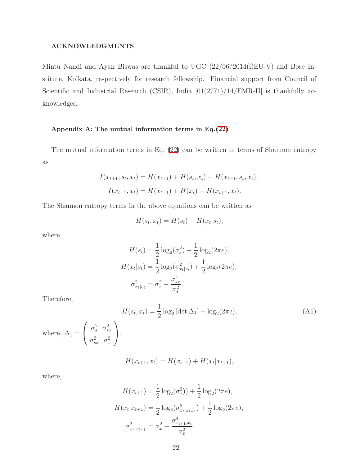### ACKNOWLEDGMENTS

Mintu Nandi and Ayan Biswas are thankful to UGC (22/06/2014(i)EU-V) and Bose Institute, Kolkata, respectively for research fellowship. Financial support from Council of Scientific and Industrial Research (CSIR), India  $[01(2771)/14/EMR-II]$  is thankfully acknowledged.

### Appendix A: The mutual information terms in Eq.[\(22\)](#page-9-0)

The mutual information terms in Eq. [\(22\)](#page-9-0) can be written in terms of Shannon entropy as

$$
I(x_{t+1}; s_t, x_t) = H(x_{t+1}) + H(s_t, x_t) - H(x_{t+1}, s_t, x_t),
$$
  

$$
I(x_{t+1}, x_t) = H(x_{t+1}) + H(x_t) - H(x_{t+1}, x_t).
$$

The Shannon entropy terms in the above equations can be written as

$$
H(s_t, x_t) = H(s_t) + H(x_t|s_t),
$$

where,

$$
H(s_t) = \frac{1}{2}\log_2(\sigma_s^2) + \frac{1}{2}\log_2(2\pi e),
$$
  
\n
$$
H(x_t|s_t) = \frac{1}{2}\log_2(\sigma_{x_t|s_t}^2) + \frac{1}{2}\log_2(2\pi e),
$$
  
\n
$$
\sigma_{x_t|s_t}^2 = \sigma_x^2 - \frac{\sigma_{sx}^4}{\sigma_s^2}.
$$

Therefore,

$$
H(s_t, x_t) = \frac{1}{2} \log_2 \left[ \det \Delta_1 \right] + \log_2(2\pi e),
$$
\n(A1)

\n
$$
\text{where, } \Delta_1 = \begin{pmatrix} \sigma_s^2 & \sigma_{sx}^2 \\ \sigma_{sx}^2 & \sigma_x^2 \end{pmatrix}.
$$

$$
H(x_{t+1}, x_t) = H(x_{t+1}) + H(x_t | x_{t+1}),
$$

where,

$$
H(x_{t+1}) = \frac{1}{2}\log_2(\sigma_x^2) + \frac{1}{2}\log_2(2\pi e),
$$
  
\n
$$
H(x_t|x_{t+1}) = \frac{1}{2}\log_2(\sigma_{x_t|x_{t+1}}^2) + \frac{1}{2}\log_2(2\pi e),
$$
  
\n
$$
\sigma_{x_t|x_{t+1}}^2 = \sigma_x^2 - \frac{\sigma_{x_{t+1},x_t}^4}{\sigma_x^2}.
$$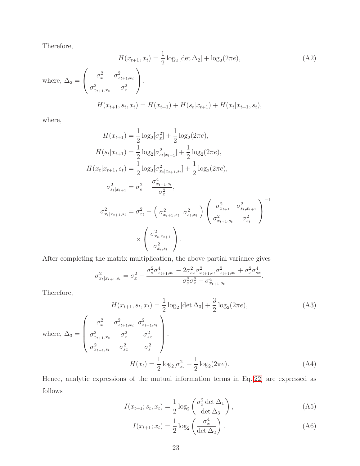Therefore,

$$
H(x_{t+1}, x_t) = \frac{1}{2} \log_2 \left[ \det \Delta_2 \right] + \log_2(2\pi e),
$$
\n(A2)  
\nwhere,  $\Delta_2 = \begin{pmatrix} \sigma_x^2 & \sigma_{x_{t+1}, x_t}^2 \\ \sigma_{x_{t+1}, x_t}^2 & \sigma_x^2 \end{pmatrix}.$   
\n
$$
H(x_{t+1}, s_t, x_t) = H(x_{t+1}) + H(s_t | x_{t+1}) + H(x_t | x_{t+1}, s_t),
$$

where,

$$
H(x_{t+1}) = \frac{1}{2}\log_2[\sigma_x^2] + \frac{1}{2}\log_2(2\pi e),
$$
  
\n
$$
H(s_t|x_{t+1}) = \frac{1}{2}\log_2[\sigma_{st|x_{t+1}}^2] + \frac{1}{2}\log_2(2\pi e),
$$
  
\n
$$
H(x_t|x_{t+1}, s_t) = \frac{1}{2}\log_2[\sigma_{xt|x_{t+1}, s_t}^2] + \frac{1}{2}\log_2(2\pi e),
$$
  
\n
$$
\sigma_{st|x_{t+1}}^2 = \sigma_s^2 - \frac{\sigma_{xt+1, s_t}^4}{\sigma_x^2},
$$
  
\n
$$
\sigma_{xt|x_{t+1}, s_t}^2 = \sigma_{xt}^2 - \left(\sigma_{xt+1, x_t}^2 \sigma_{st, x_t}^2\right) \left(\frac{\sigma_{xt+1}^2}{\sigma_{xt+1, s_t}^2} \sigma_{st}^2\right)^{-1}
$$
  
\n
$$
\times \left(\frac{\sigma_{xt, x_{t+1}}^2}{\sigma_{xt, s_t}^2}\right).
$$

After completing the matrix multiplication, the above partial variance gives

$$
\sigma_{x_t|x_{t+1},s_t}^2 = \sigma_x^2 - \frac{\sigma_s^2 \sigma_{x_{t+1},x_t}^4 - 2\sigma_{sx}^2 \sigma_{x_{t+1},s_t}^2 \sigma_{x_{t+1},x_t}^2 + \sigma_x^2 \sigma_{sx}^4}{\sigma_s^2 \sigma_x^2 - \sigma_{x_{t+1},s_t}^4}.
$$

Therefore,

$$
H(x_{t+1}, s_t, x_t) = \frac{1}{2} \log_2 \left[ \det \Delta_3 \right] + \frac{3}{2} \log_2(2\pi e),
$$
\n(A3)  
\nwhere,  $\Delta_3 = \begin{pmatrix} \sigma_x^2 & \sigma_{x_{t+1}, x_t}^2 & \sigma_{x_t}^2 \\ \sigma_{x_{t+1}, x_t}^2 & \sigma_x^2 & \sigma_{x_t}^2 \\ \sigma_{x_{t+1}, s_t}^2 & \sigma_{x_t}^2 & \sigma_s^2 \end{pmatrix}.$   
\n
$$
H(x_t) = \frac{1}{2} \log_2[\sigma_x^2] + \frac{1}{2} \log_2(2\pi e).
$$
\n(A4)

Hence, analytic expressions of the mutual information terms in Eq.[\[22\]](#page-9-0) are expressed as follows

$$
I(x_{t+1}; s_t, x_t) = \frac{1}{2} \log_2 \left( \frac{\sigma_x^2 \det \Delta_1}{\det \Delta_3} \right), \tag{A5}
$$

$$
I(x_{t+1}; x_t) = \frac{1}{2} \log_2 \left( \frac{\sigma_x^4}{\det \Delta_2} \right).
$$
 (A6)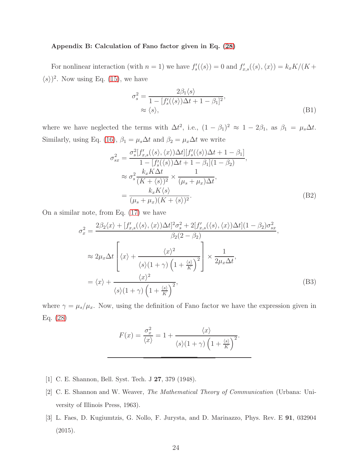#### Appendix B: Calculation of Fano factor given in Eq. [\(28\)](#page-12-0)

For nonlinear interaction (with  $n = 1$ ) we have  $f'_s(\langle s \rangle) = 0$  and  $f'_{x,s}(\langle s \rangle, \langle x \rangle) = k_x K/(K +$  $\langle s \rangle$ <sup>2</sup>. Now using Eq. [\(15\)](#page-7-2), we have

$$
\sigma_s^2 = \frac{2\beta_1\langle s \rangle}{1 - [f_s'(\langle s \rangle)\Delta t + 1 - \beta_1]^2},
$$
  
 
$$
\approx \langle s \rangle,
$$
 (B1)

where we have neglected the terms with  $\Delta t^2$ , i.e.,  $(1 - \beta_1)^2 \approx 1 - 2\beta_1$ , as  $\beta_1 = \mu_s \Delta t$ . Similarly, using Eq. [\(16\)](#page-7-2),  $\beta_1 = \mu_s \Delta t$  and  $\beta_2 = \mu_x \Delta t$  we write

$$
\sigma_{sx}^{2} = \frac{\sigma_{s}^{2}[f_{x,s}'(\langle s \rangle, \langle x \rangle) \Delta t][f_{s}'(\langle s \rangle) \Delta t + 1 - \beta_{1}]}{1 - [f_{s}'(\langle s \rangle) \Delta t + 1 - \beta_{1}](1 - \beta_{2})},
$$
  
\n
$$
\approx \sigma_{s}^{2} \frac{k_{x} K \Delta t}{(K + \langle s \rangle)^{2}} \times \frac{1}{(\mu_{s} + \mu_{x}) \Delta t},
$$
  
\n
$$
= \frac{k_{x} K \langle s \rangle}{(\mu_{s} + \mu_{x})(K + \langle s \rangle)^{2}}.
$$
 (B2)

On a similar note, from Eq. [\(17\)](#page-7-2) we have

$$
\sigma_x^2 = \frac{2\beta_2\langle x \rangle + [f'_{x,s}(\langle s \rangle, \langle x \rangle) \Delta t]^2 \sigma_s^2 + 2[f'_{x,s}(\langle s \rangle, \langle x \rangle) \Delta t](1 - \beta_2) \sigma_{sx}^2}{\beta_2(2 - \beta_2)},
$$
  
\n
$$
\approx 2\mu_x \Delta t \left[ \langle x \rangle + \frac{\langle x \rangle^2}{\langle s \rangle (1 + \gamma) \left(1 + \frac{\langle s \rangle}{K}\right)^2} \right] \times \frac{1}{2\mu_x \Delta t},
$$
  
\n
$$
= \langle x \rangle + \frac{\langle x \rangle^2}{\langle s \rangle (1 + \gamma) \left(1 + \frac{\langle s \rangle}{K}\right)^2},
$$
(B3)

where  $\gamma = \mu_s/\mu_x$ . Now, using the definition of Fano factor we have the expression given in Eq. [\(28\)](#page-12-0)

$$
F(x) = \frac{\sigma_x^2}{\langle x \rangle} = 1 + \frac{\langle x \rangle}{\langle s \rangle (1 + \gamma) \left(1 + \frac{\langle s \rangle}{K}\right)^2}.
$$

- <span id="page-23-0"></span>[1] C. E. Shannon, Bell. Syst. Tech. J 27, 379 (1948).
- <span id="page-23-1"></span>[2] C. E. Shannon and W. Weaver, *The Mathematical Theory of Communication* (Urbana: University of Illinois Press, 1963).
- <span id="page-23-2"></span>[3] L. Faes, D. Kugiumtzis, G. Nollo, F. Jurysta, and D. Marinazzo, Phys. Rev. E 91, 032904  $(2015).$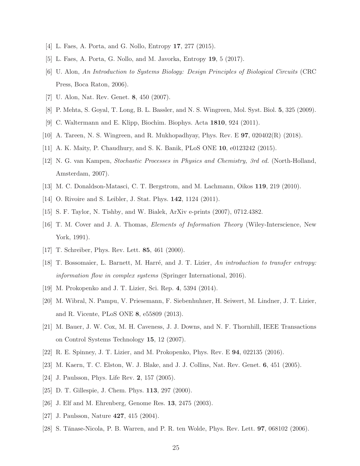- <span id="page-24-0"></span>[4] L. Faes, A. Porta, and G. Nollo, Entropy 17, 277 (2015).
- <span id="page-24-1"></span>[5] L. Faes, A. Porta, G. Nollo, and M. Javorka, Entropy 19, 5 (2017).
- [6] U. Alon, *An Introduction to Systems Biology: Design Principles of Biological Circuits* (CRC Press, Boca Raton, 2006).
- <span id="page-24-3"></span><span id="page-24-2"></span>[7] U. Alon, Nat. Rev. Genet. 8, 450 (2007).
- [8] P. Mehta, S. Goyal, T. Long, B. L. Bassler, and N. S. Wingreen, Mol. Syst. Biol. 5, 325 (2009).
- <span id="page-24-4"></span>[9] C. Waltermann and E. Klipp, Biochim. Biophys. Acta 1810, 924 (2011).
- <span id="page-24-5"></span>[10] A. Tareen, N. S. Wingreen, and R. Mukhopadhyay, Phys. Rev. E 97, 020402(R) (2018).
- <span id="page-24-6"></span>[11] A. K. Maity, P. Chaudhury, and S. K. Banik, PLoS ONE 10, e0123242 (2015).
- [12] N. G. van Kampen, *Stochastic Processes in Physics and Chemistry, 3rd ed.* (North-Holland, Amsterdam, 2007).
- <span id="page-24-7"></span>[13] M. C. Donaldson-Matasci, C. T. Bergstrom, and M. Lachmann, Oikos 119, 219 (2010).
- <span id="page-24-8"></span>[14] O. Rivoire and S. Leibler, J. Stat. Phys. **142**, 1124 (2011).
- <span id="page-24-9"></span>[15] S. F. Taylor, N. Tishby, and W. Bialek, ArXiv e-prints (2007), 0712.4382.
- [16] T. M. Cover and J. A. Thomas, *Elements of Information Theory* (Wiley-Interscience, New York, 1991).
- <span id="page-24-10"></span>[17] T. Schreiber, Phys. Rev. Lett. **85**, 461 (2000).
- <span id="page-24-11"></span>[18] T. Bossomaier, L. Barnett, M. Harr´e, and J. T. Lizier, *An introduction to transfer entropy: information flow in complex systems* (Springer International, 2016).
- <span id="page-24-12"></span>[19] M. Prokopenko and J. T. Lizier, Sci. Rep. 4, 5394 (2014).
- <span id="page-24-13"></span>[20] M. Wibral, N. Pampu, V. Priesemann, F. Siebenhuhner, H. Seiwert, M. Lindner, J. T. Lizier, and R. Vicente, PLoS ONE 8, e55809 (2013).
- <span id="page-24-14"></span>[21] M. Bauer, J. W. Cox, M. H. Caveness, J. J. Downs, and N. F. Thornhill, IEEE Transactions on Control Systems Technology 15, 12 (2007).
- <span id="page-24-15"></span>[22] R. E. Spinney, J. T. Lizier, and M. Prokopenko, Phys. Rev. E 94, 022135 (2016).
- <span id="page-24-16"></span>[23] M. Kaern, T. C. Elston, W. J. Blake, and J. J. Collins, Nat. Rev. Genet. 6, 451 (2005).
- <span id="page-24-17"></span>[24] J. Paulsson, Phys. Life Rev. 2, 157 (2005).
- <span id="page-24-18"></span>[25] D. T. Gillespie, J. Chem. Phys. **113**, 297 (2000).
- <span id="page-24-20"></span>[26] J. Elf and M. Ehrenberg, Genome Res. 13, 2475 (2003).
- [27] J. Paulsson, Nature **427**, 415 (2004).
- <span id="page-24-19"></span>[28] S. Tănase-Nicola, P. B. Warren, and P. R. ten Wolde, Phys. Rev. Lett.  $97,068102$  (2006).